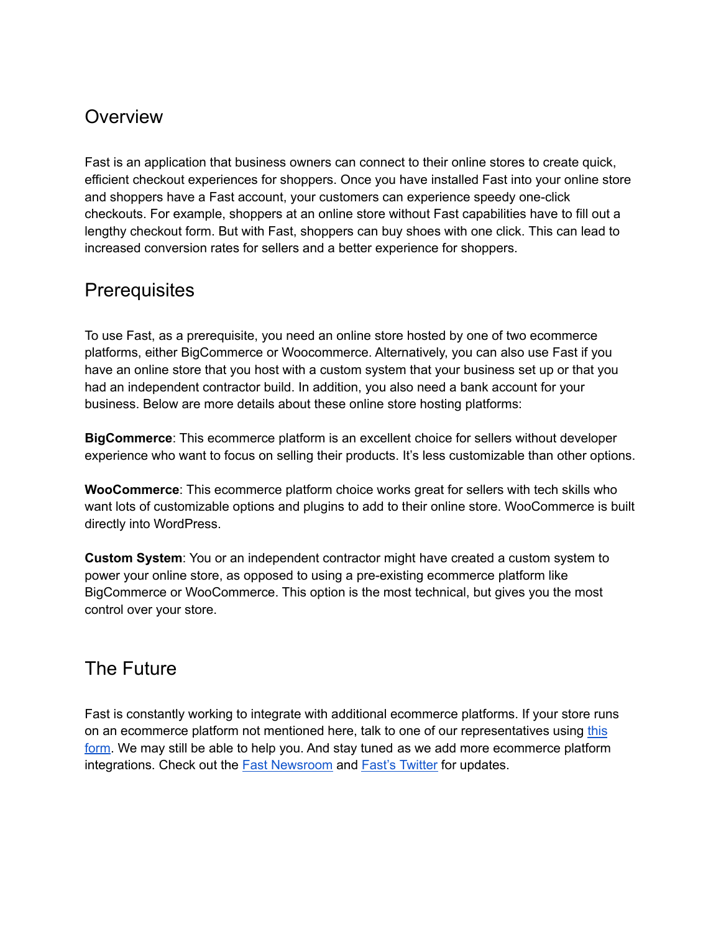## **Overview**

Fast is an application that business owners can connect to their online stores to create quick, efficient checkout experiences for shoppers. Once you have installed Fast into your online store and shoppers have a Fast account, your customers can experience speedy one-click checkouts. For example, shoppers at an online store without Fast capabilities have to fill out a lengthy checkout form. But with Fast, shoppers can buy shoes with one click. This can lead to increased conversion rates for sellers and a better experience for shoppers.

## **Prerequisites**

To use Fast, as a prerequisite, you need an online store hosted by one of two ecommerce platforms, either BigCommerce or Woocommerce. Alternatively, you can also use Fast if you have an online store that you host with a custom system that your business set up or that you had an independent contractor build. In addition, you also need a bank account for your business. Below are more details about these online store hosting platforms:

**BigCommerce**: This ecommerce platform is an excellent choice for sellers without developer experience who want to focus on selling their products. It's less customizable than other options.

**WooCommerce**: This ecommerce platform choice works great for sellers with tech skills who want lots of customizable options and plugins to add to their online store. WooCommerce is built directly into WordPress.

**Custom System**: You or an independent contractor might have created a custom system to power your online store, as opposed to using a pre-existing ecommerce platform like BigCommerce or WooCommerce. This option is the most technical, but gives you the most control over your store.

## The Future

Fast is constantly working to integrate with additional ecommerce platforms. If your store runs on an ecommerce platform not mentioned here, talk to one of our representatives using [this](https://v2.fast.co/contact-sales) [form.](https://v2.fast.co/contact-sales) We may still be able to help you. And stay tuned as we add more ecommerce platform integrations. Check out the Fast [Newsroom](https://www.fast.co/newsroom/news) and Fast's [Twitter](https://twitter.com/fast) for updates.